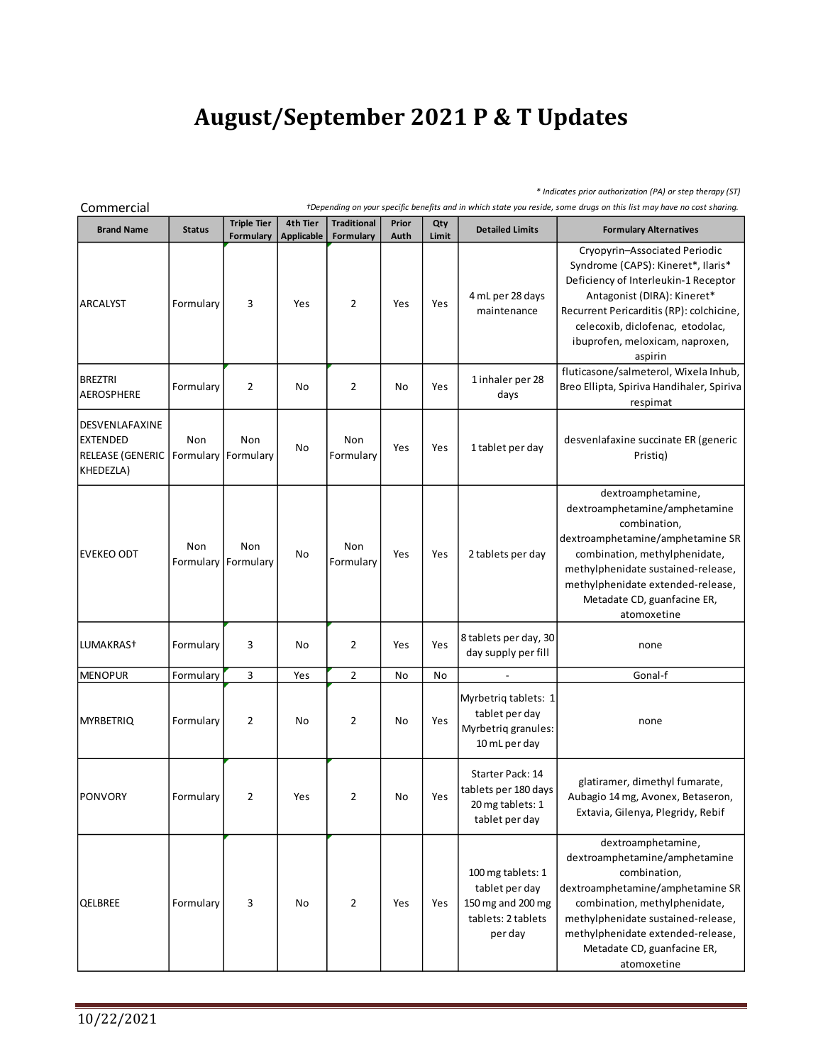## **August/September 2021 P & T Updates**

*\* Indicates prior authorization (PA) or step therapy (ST)*

**Brand Name Status Triple Tier Formulary 4th Tier Applicable Traditional Formulary Prior Auth Qty Limit Detailed Limits Formulary Alternatives** ARCALYST | Formulary | 3 | Yes | 2 | Yes | Yes 4 mL per 28 days maintenance Cryopyrin–Associated Periodic Syndrome (CAPS): Kineret\*, Ilaris\* Deficiency of Interleukin-1 Receptor Antagonist (DIRA): Kineret\* Recurrent Pericarditis (RP): colchicine, celecoxib, diclofenac, etodolac, ibuprofen, meloxicam, naproxen, aspirin BREZTRI AEROSPHERE Formulary 2 No 2 No Yes 1 inhaler per 28 days fluticasone/salmeterol, Wixela Inhub, Breo Ellipta, Spiriva Handihaler, Spiriva respimat DESVENLAFAXINE EXTENDED RELEASE (GENERIC KHEDEZLA) Non **Formulary Formulary** Non 2 No<br>
Non<br>
Formulary No Non Non Yes Yes 1 tablet per day desvenlafaxine succinate ER (generic<br>Formulary Yes 1 tablet per day Pristiq) Pristiq) EVEKEO ODT Non Formulary Formulary Non Non<br>Formulary No Non Formulary Yes Yes 2 tablets per day dextroamphetamine, dextroamphetamine/amphetamine combination, dextroamphetamine/amphetamine SR combination, methylphenidate, methylphenidate sustained-release, methylphenidate extended-release, Metadate CD, guanfacine ER, atomoxetine LUMAKRAS† Formulary 3 No 2 Yes Yes<br>AFNODUD Formulary 3 No 2 Yes Yes 8 tablets per day, 30 day supply per fill none EUMAKRAS<sup>†</sup><br>
EUMAKRAS<sup>†</sup> Formulary 3 No 2 Yes 8 tablets per day, 30 none<br>
MENOPUR Formulary 3 Yes 2 No No - Gonal-f<br>
Myrbetriq tablets: 1 MENOPUR Formulary 3 Yes 2 No No<br>MENOPUR Formulary 3 Yes 2 No No<br>MYRBETRIQ Formulary 2 No 2 No Yes Myrbetriq tablets: 1 tablet per day Myrbetriq granules: 10 mL per day none PONVORY Formulary 2 Yes 2 No Yes Starter Pack: 14 tablets per 180 days 20 mg tablets: 1 tablet per day glatiramer, dimethyl fumarate, Aubagio 14 mg, Avonex, Betaseron, Extavia, Gilenya, Plegridy, Rebif QELBREE Formulary 3 No 2 Yes Yes 100 mg tablets: 1 tablet per day 150 mg and 200 mg tablets: 2 tablets per day dextroamphetamine, dextroamphetamine/amphetamine combination, dextroamphetamine/amphetamine SR combination, methylphenidate, methylphenidate sustained-release, methylphenidate extended-release, Metadate CD, guanfacine ER, atomoxetine Commercial *†Depending on your specific benefits and in which state you reside, some drugs on this list may have no cost sharing.*

10/22/2021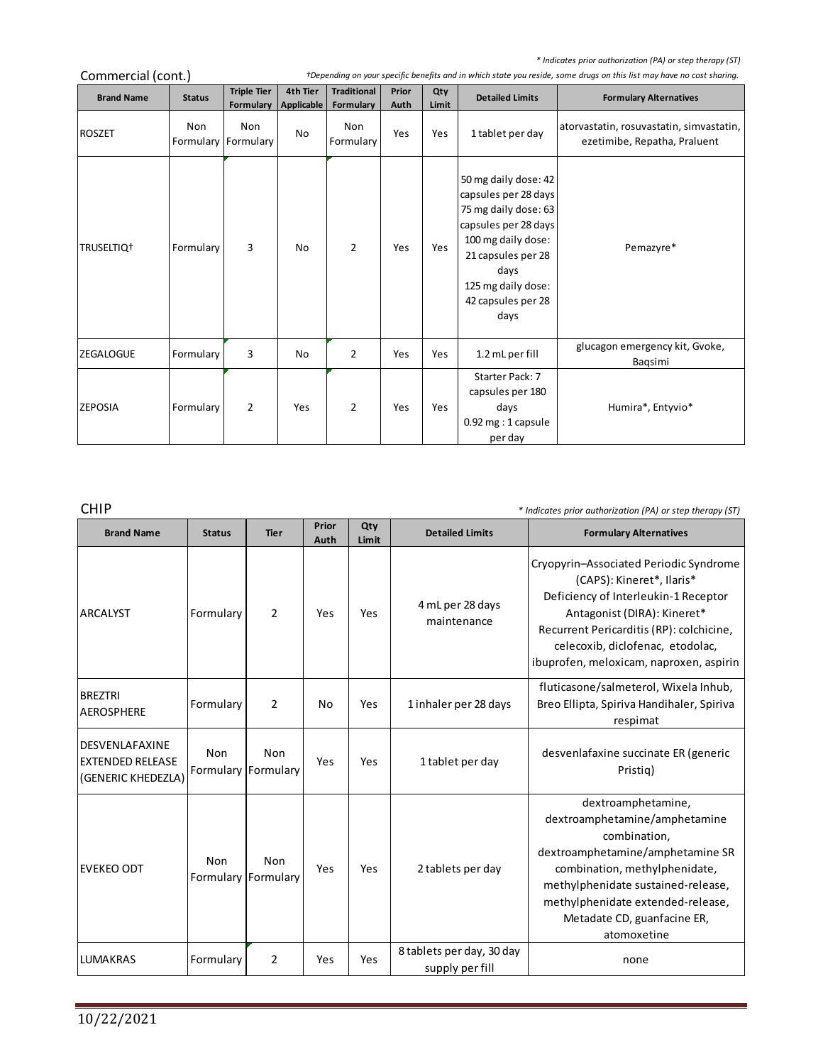*\* Indicates prior authorization (PA) or step therapy (ST)*

| " indicates prior duthorization (PA) or step therapy (ST)<br>Commercial (cont.)<br>+Depending on your specific benefits and in which state you reside, some drugs on this list may have no cost sharing. |                            |                                 |                        |                                 |               |              |                                                                                                                                                                                                      |                                                                          |  |  |
|----------------------------------------------------------------------------------------------------------------------------------------------------------------------------------------------------------|----------------------------|---------------------------------|------------------------|---------------------------------|---------------|--------------|------------------------------------------------------------------------------------------------------------------------------------------------------------------------------------------------------|--------------------------------------------------------------------------|--|--|
| <b>Brand Name</b>                                                                                                                                                                                        | <b>Status</b>              | <b>Triple Tier</b><br>Formulary | 4th Tier<br>Applicable | <b>Traditional</b><br>Formulary | Prior<br>Auth | Qty<br>Limit | <b>Detailed Limits</b>                                                                                                                                                                               | <b>Formulary Alternatives</b>                                            |  |  |
| <b>ROSZET</b>                                                                                                                                                                                            | Non<br>Formulary Formulary | <b>Non</b>                      | No                     | Non<br>Formulary                | Yes           | Yes          | 1 tablet per day                                                                                                                                                                                     | atorvastatin, rosuvastatin, simvastatin,<br>ezetimibe, Repatha, Praluent |  |  |
| TRUSELTIQ <sup>+</sup>                                                                                                                                                                                   | Formulary                  | 3                               | No                     | $\overline{2}$                  | Yes           | Yes          | 50 mg daily dose: 42<br>capsules per 28 days<br>75 mg daily dose: 63<br>capsules per 28 days<br>100 mg daily dose:<br>21 capsules per 28<br>days<br>125 mg daily dose:<br>42 capsules per 28<br>days | Pemazyre*                                                                |  |  |
| <b>ZEGALOGUE</b>                                                                                                                                                                                         | Formulary                  | 3                               | No                     | $\overline{2}$                  | Yes           | Yes          | 1.2 mL per fill                                                                                                                                                                                      | glucagon emergency kit, Gvoke,<br>Bagsimi                                |  |  |
| <b>ZEPOSIA</b>                                                                                                                                                                                           | Formulary                  | 2                               | Yes                    | $\overline{2}$                  | Yes           | Yes          | Starter Pack: 7<br>capsules per 180<br>days<br>0.92 mg: 1 capsule<br>per day                                                                                                                         | Humira*, Entyvio*                                                        |  |  |

CHIP *\* Indicates prior authorization (PA) or step therapy (ST)*

the control of the control of the control of

| <b>Brand Name</b>                                               | <b>Status</b> | <b>Tier</b>                | Prior<br>Auth | Qty<br>Limit | <b>Detailed Limits</b>                       | <b>Formulary Alternatives</b>                                                                                                                                                                                                                                         |
|-----------------------------------------------------------------|---------------|----------------------------|---------------|--------------|----------------------------------------------|-----------------------------------------------------------------------------------------------------------------------------------------------------------------------------------------------------------------------------------------------------------------------|
| IARCALYST                                                       | Formulary     | 2                          | Yes           | Yes          | 4 mL per 28 days<br>maintenance              | Cryopyrin-Associated Periodic Syndrome<br>(CAPS): Kineret*, Ilaris*<br>Deficiency of Interleukin-1 Receptor<br>Antagonist (DIRA): Kineret*<br>Recurrent Pericarditis (RP): colchicine,<br>celecoxib, diclofenac, etodolac,<br>ibuprofen, meloxicam, naproxen, aspirin |
| <b>BREZTRI</b><br><b>AEROSPHERE</b>                             | Formulary     | 2                          | No            | Yes          | 1 inhaler per 28 days                        | fluticasone/salmeterol, Wixela Inhub,<br>Breo Ellipta, Spiriva Handihaler, Spiriva<br>respimat                                                                                                                                                                        |
| DESVENLAFAXINE<br><b>EXTENDED RELEASE</b><br>(GENERIC KHEDEZLA) | Non           | Non<br>Formulary Formulary | Yes           | Yes          | 1 tablet per day                             | desvenlafaxine succinate ER (generic<br>Pristig)                                                                                                                                                                                                                      |
| EVEKEO ODT                                                      | Non           | Non<br>Formulary Formulary | Yes           | Yes          | 2 tablets per day                            | dextroamphetamine,<br>dextroamphetamine/amphetamine<br>combination,<br>dextroamphetamine/amphetamine SR<br>combination, methylphenidate,<br>methylphenidate sustained-release,<br>methylphenidate extended-release,<br>Metadate CD, guanfacine ER,<br>atomoxetine     |
| <b>LUMAKRAS</b>                                                 | Formulary     | 2                          | Yes           | Yes          | 8 tablets per day, 30 day<br>supply per fill | none                                                                                                                                                                                                                                                                  |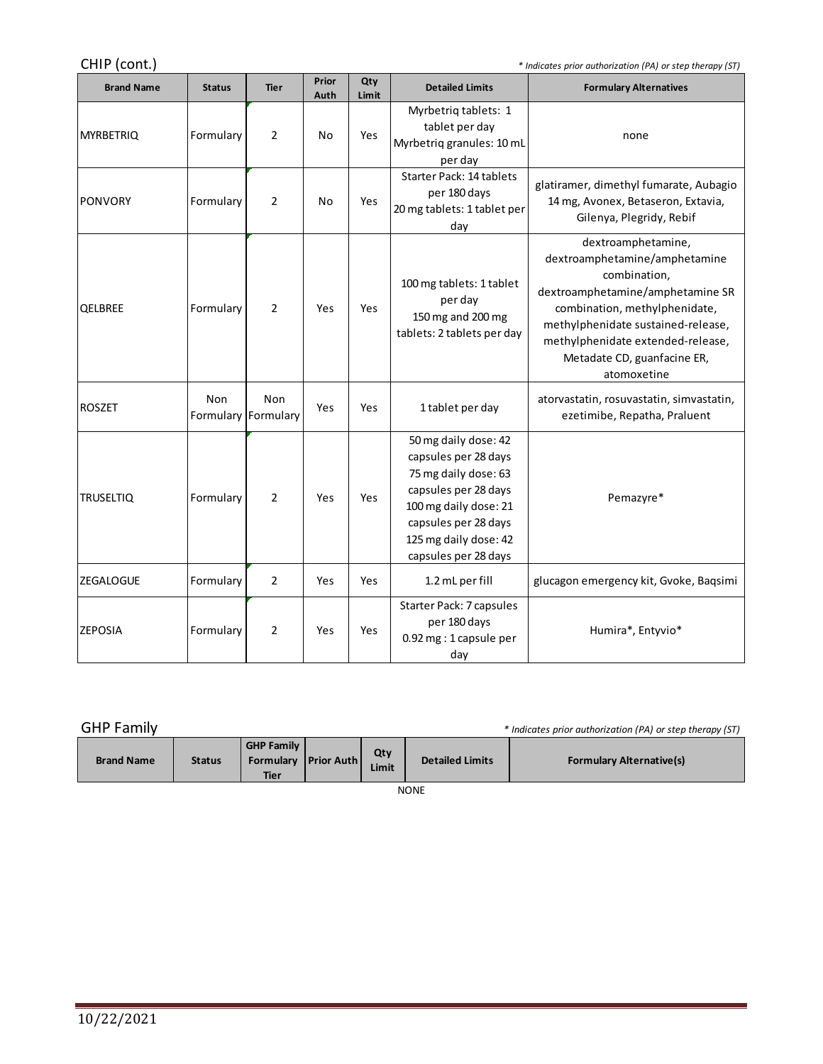CHIP (cont.) *\* Indicates prior authorization (PA) or step therapy (ST)*

| CHIP (cont.)<br>* Indicates prior authorization (PA) or step therapy (ST) |                            |                |               |              |                                                                                                                                                                                                |                                                                                                                                                                                                                                                                   |  |  |
|---------------------------------------------------------------------------|----------------------------|----------------|---------------|--------------|------------------------------------------------------------------------------------------------------------------------------------------------------------------------------------------------|-------------------------------------------------------------------------------------------------------------------------------------------------------------------------------------------------------------------------------------------------------------------|--|--|
| <b>Brand Name</b>                                                         | <b>Status</b>              | <b>Tier</b>    | Prior<br>Auth | Qty<br>Limit | <b>Detailed Limits</b>                                                                                                                                                                         | <b>Formulary Alternatives</b>                                                                                                                                                                                                                                     |  |  |
| <b>MYRBETRIQ</b>                                                          | Formulary                  | 2              | No            | Yes          | Myrbetriq tablets: 1<br>tablet per day<br>Myrbetriq granules: 10 mL<br>per day                                                                                                                 | none                                                                                                                                                                                                                                                              |  |  |
| <b>PONVORY</b>                                                            | Formulary                  | 2              | No            | Yes          | <b>Starter Pack: 14 tablets</b><br>per 180 days<br>20 mg tablets: 1 tablet per<br>day                                                                                                          | glatiramer, dimethyl fumarate, Aubagio<br>14 mg, Avonex, Betaseron, Extavia,<br>Gilenya, Plegridy, Rebif                                                                                                                                                          |  |  |
| QELBREE                                                                   | Formulary                  | $\overline{2}$ | Yes           | Yes          | 100 mg tablets: 1 tablet<br>per day<br>150 mg and 200 mg<br>tablets: 2 tablets per day                                                                                                         | dextroamphetamine,<br>dextroamphetamine/amphetamine<br>combination,<br>dextroamphetamine/amphetamine SR<br>combination, methylphenidate,<br>methylphenidate sustained-release,<br>methylphenidate extended-release,<br>Metadate CD, guanfacine ER,<br>atomoxetine |  |  |
| <b>ROSZET</b>                                                             | Non<br>Formulary Formulary | Non            | Yes           | Yes          | 1 tablet per day                                                                                                                                                                               | atorvastatin, rosuvastatin, simvastatin,<br>ezetimibe, Repatha, Praluent                                                                                                                                                                                          |  |  |
| <b>TRUSELTIQ</b>                                                          | Formulary                  | $\overline{2}$ | Yes           | Yes          | 50 mg daily dose: 42<br>capsules per 28 days<br>75 mg daily dose: 63<br>capsules per 28 days<br>100 mg daily dose: 21<br>capsules per 28 days<br>125 mg daily dose: 42<br>capsules per 28 days | Pemazyre*                                                                                                                                                                                                                                                         |  |  |
| <b>ZEGALOGUE</b>                                                          | Formulary                  | $\overline{2}$ | Yes           | Yes          | 1.2 mL per fill                                                                                                                                                                                | glucagon emergency kit, Gvoke, Baqsimi                                                                                                                                                                                                                            |  |  |
| <b>ZEPOSIA</b>                                                            | Formulary                  | 2              | Yes           | Yes          | Starter Pack: 7 capsules<br>per 180 days<br>0.92 mg : 1 capsule per<br>day                                                                                                                     | Humira*, Entyvio*                                                                                                                                                                                                                                                 |  |  |

GHP Family *\* Indicates prior authorization (PA) or step therapy (ST)*

and the control of the control of

| <b>Brand Name</b> | <b>Status</b> | <b>GHP Family</b><br>Formulary   Prior Auth  <br><b>Tier</b> |  | Qty<br>Limit | <b>Detailed Limits</b> | <b>Formulary Alternative(s)</b> |  |  |  |
|-------------------|---------------|--------------------------------------------------------------|--|--------------|------------------------|---------------------------------|--|--|--|
| <b>NONE</b>       |               |                                                              |  |              |                        |                                 |  |  |  |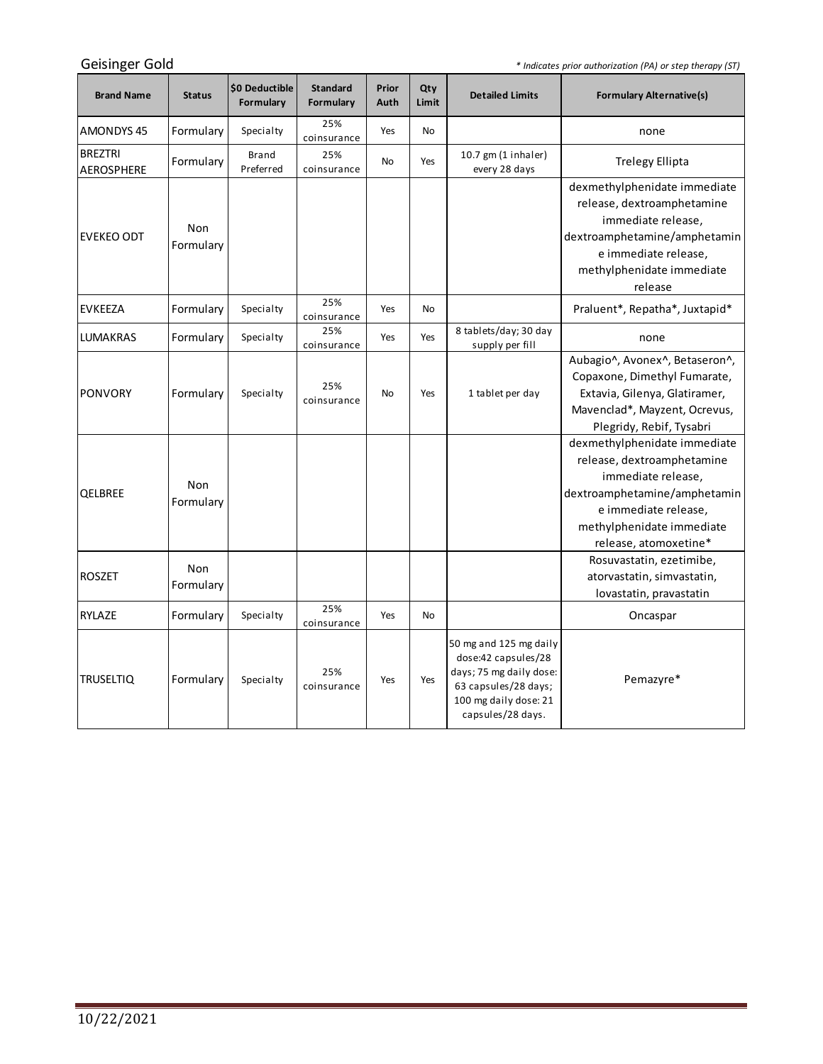*\* Indicates prior authorization (PA) or step therapy (ST)*

<u> 1989 - Johann Barnett, fransk politiker (</u>

| <b>Brand Name</b>                   | <b>Status</b>    | \$0 Deductible<br>Formulary | <b>Standard</b><br>Formulary | Prior<br>Auth | Qty<br>Limit | <b>Detailed Limits</b>                                                                                                                         | <b>Formulary Alternative(s)</b>                                                                                                                                                                |
|-------------------------------------|------------------|-----------------------------|------------------------------|---------------|--------------|------------------------------------------------------------------------------------------------------------------------------------------------|------------------------------------------------------------------------------------------------------------------------------------------------------------------------------------------------|
| <b>AMONDYS45</b>                    | Formulary        | Specialty                   | 25%<br>coinsurance           | Yes           | <b>No</b>    |                                                                                                                                                | none                                                                                                                                                                                           |
| <b>BREZTRI</b><br><b>AEROSPHERE</b> | Formulary        | <b>Brand</b><br>Preferred   | 25%<br>coinsurance           | No            | Yes          | 10.7 gm (1 inhaler)<br>every 28 days                                                                                                           | <b>Trelegy Ellipta</b>                                                                                                                                                                         |
| <b>EVEKEO ODT</b>                   | Non<br>Formulary |                             |                              |               |              |                                                                                                                                                | dexmethylphenidate immediate<br>release, dextroamphetamine<br>immediate release,<br>dextroamphetamine/amphetamin<br>e immediate release,<br>methylphenidate immediate<br>release               |
| <b>EVKEEZA</b>                      | Formulary        | Specialty                   | 25%<br>coinsurance           | Yes           | <b>No</b>    |                                                                                                                                                | Praluent*, Repatha*, Juxtapid*                                                                                                                                                                 |
| LUMAKRAS                            | Formulary        | Specialty                   | 25%<br>coinsurance           | Yes           | Yes          | 8 tablets/day; 30 day<br>supply per fill                                                                                                       | none                                                                                                                                                                                           |
| <b>PONVORY</b>                      | Formulary        | Specialty                   | 25%<br>coinsurance           | No            | Yes          | 1 tablet per day                                                                                                                               | Aubagio^, Avonex^, Betaseron^,<br>Copaxone, Dimethyl Fumarate,<br>Extavia, Gilenya, Glatiramer,<br>Mavenclad*, Mayzent, Ocrevus,<br>Plegridy, Rebif, Tysabri                                   |
| QELBREE                             | Non<br>Formulary |                             |                              |               |              |                                                                                                                                                | dexmethylphenidate immediate<br>release, dextroamphetamine<br>immediate release,<br>dextroamphetamine/amphetamin<br>e immediate release,<br>methylphenidate immediate<br>release, atomoxetine* |
| <b>ROSZET</b>                       | Non<br>Formulary |                             |                              |               |              |                                                                                                                                                | Rosuvastatin, ezetimibe,<br>atorvastatin, simvastatin,<br>lovastatin, pravastatin                                                                                                              |
| RYLAZE                              | Formulary        | Specialty                   | 25%<br>coinsurance           | Yes           | <b>No</b>    |                                                                                                                                                | Oncaspar                                                                                                                                                                                       |
| <b>TRUSELTIQ</b>                    | Formulary        | Specialty                   | 25%<br>coinsurance           | Yes           | Yes          | 50 mg and 125 mg daily<br>dose:42 capsules/28<br>days; 75 mg daily dose:<br>63 capsules/28 days;<br>100 mg daily dose: 21<br>capsules/28 days. | Pemazyre*                                                                                                                                                                                      |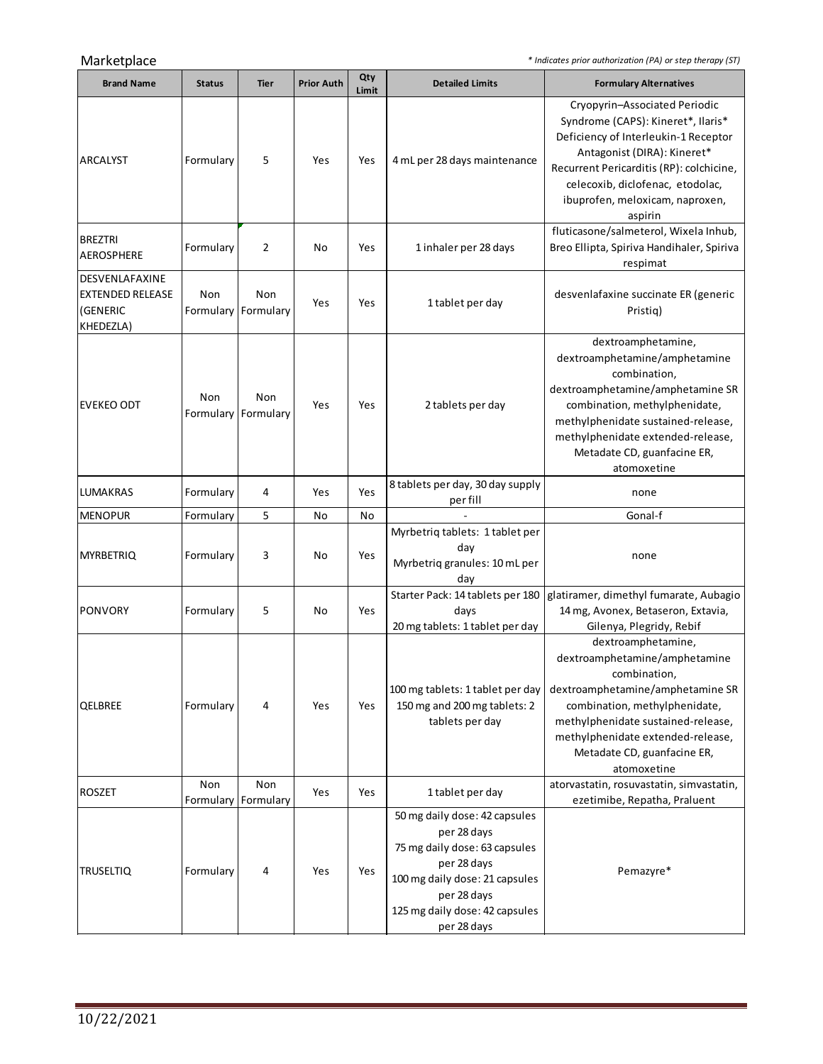Marketplace *\* Indicates prior authorization (PA) or step therapy (ST)*

 $\sim$ 

| <b>Brand Name</b>                                                  | <b>Status</b>    | <b>Tier</b>      | <b>Prior Auth</b> | Qty<br>Limit | <b>Detailed Limits</b>                                                                                                                                                                         | <b>Formulary Alternatives</b>                                                                                                                                                                                                                                            |
|--------------------------------------------------------------------|------------------|------------------|-------------------|--------------|------------------------------------------------------------------------------------------------------------------------------------------------------------------------------------------------|--------------------------------------------------------------------------------------------------------------------------------------------------------------------------------------------------------------------------------------------------------------------------|
| ARCALYST                                                           | Formulary        | 5                | Yes               | Yes          | 4 mL per 28 days maintenance                                                                                                                                                                   | Cryopyrin-Associated Periodic<br>Syndrome (CAPS): Kineret*, Ilaris*<br>Deficiency of Interleukin-1 Receptor<br>Antagonist (DIRA): Kineret*<br>Recurrent Pericarditis (RP): colchicine,<br>celecoxib, diclofenac, etodolac,<br>ibuprofen, meloxicam, naproxen,<br>aspirin |
| <b>BREZTRI</b><br><b>AEROSPHERE</b>                                | Formulary        | $\overline{2}$   | No                | Yes          | 1 inhaler per 28 days                                                                                                                                                                          | fluticasone/salmeterol, Wixela Inhub,<br>Breo Ellipta, Spiriva Handihaler, Spiriva<br>respimat                                                                                                                                                                           |
| DESVENLAFAXINE<br><b>EXTENDED RELEASE</b><br>(GENERIC<br>KHEDEZLA) | Non<br>Formulary | Non<br>Formulary | Yes               | Yes          | 1 tablet per day                                                                                                                                                                               | desvenlafaxine succinate ER (generic<br>Pristig)                                                                                                                                                                                                                         |
| <b>EVEKEO ODT</b>                                                  | Non<br>Formulary | Non<br>Formulary | Yes               | Yes          | 2 tablets per day                                                                                                                                                                              | dextroamphetamine,<br>dextroamphetamine/amphetamine<br>combination,<br>dextroamphetamine/amphetamine SR<br>combination, methylphenidate,<br>methylphenidate sustained-release,<br>methylphenidate extended-release,<br>Metadate CD, guanfacine ER,<br>atomoxetine        |
| <b>LUMAKRAS</b>                                                    | Formulary        | 4                | Yes               | Yes          | 8 tablets per day, 30 day supply<br>per fill                                                                                                                                                   | none                                                                                                                                                                                                                                                                     |
| <b>MENOPUR</b>                                                     | Formulary        | 5                | No                | No           |                                                                                                                                                                                                | Gonal-f                                                                                                                                                                                                                                                                  |
| <b>MYRBETRIQ</b>                                                   | Formulary        | 3                | No                | Yes          | Myrbetriq tablets: 1 tablet per<br>day<br>Myrbetriq granules: 10 mL per<br>day                                                                                                                 | none                                                                                                                                                                                                                                                                     |
| <b>PONVORY</b>                                                     | Formulary        | 5                | No                | Yes          | Starter Pack: 14 tablets per 180<br>days<br>20 mg tablets: 1 tablet per day                                                                                                                    | glatiramer, dimethyl fumarate, Aubagio<br>14 mg, Avonex, Betaseron, Extavia,<br>Gilenya, Plegridy, Rebif                                                                                                                                                                 |
| QELBREE                                                            | Formulary        | 4                | Yes               | Yes          | 100 mg tablets: 1 tablet per day<br>150 mg and 200 mg tablets: 2<br>tablets per day                                                                                                            | dextroamphetamine,<br>dextroamphetamine/amphetamine<br>combination,<br>dextroamphetamine/amphetamine SR<br>combination, methylphenidate,<br>methylphenidate sustained-release,<br>methylphenidate extended-release,<br>Metadate CD, guanfacine ER,<br>atomoxetine        |
| <b>ROSZET</b>                                                      | Non<br>Formulary | Non<br>Formulary | Yes               | Yes          | 1 tablet per day                                                                                                                                                                               | atorvastatin, rosuvastatin, simvastatin,<br>ezetimibe, Repatha, Praluent                                                                                                                                                                                                 |
| <b>TRUSELTIQ</b>                                                   | Formulary        | 4                | Yes               | Yes          | 50 mg daily dose: 42 capsules<br>per 28 days<br>75 mg daily dose: 63 capsules<br>per 28 days<br>100 mg daily dose: 21 capsules<br>per 28 days<br>125 mg daily dose: 42 capsules<br>per 28 days | Pemazyre*                                                                                                                                                                                                                                                                |